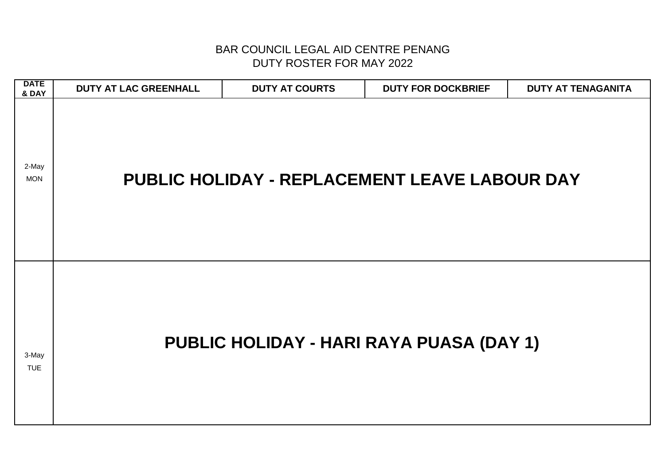| <b>DATE</b><br>& DAY | <b>DUTY AT LAC GREENHALL</b> | <b>DUTY AT COURTS</b> | <b>DUTY FOR DOCKBRIEF</b>                     | <b>DUTY AT TENAGANITA</b> |
|----------------------|------------------------------|-----------------------|-----------------------------------------------|---------------------------|
| 2-May<br><b>MON</b>  |                              |                       | PUBLIC HOLIDAY - REPLACEMENT LEAVE LABOUR DAY |                           |
| 3-May<br><b>TUE</b>  |                              |                       | PUBLIC HOLIDAY - HARI RAYA PUASA (DAY 1)      |                           |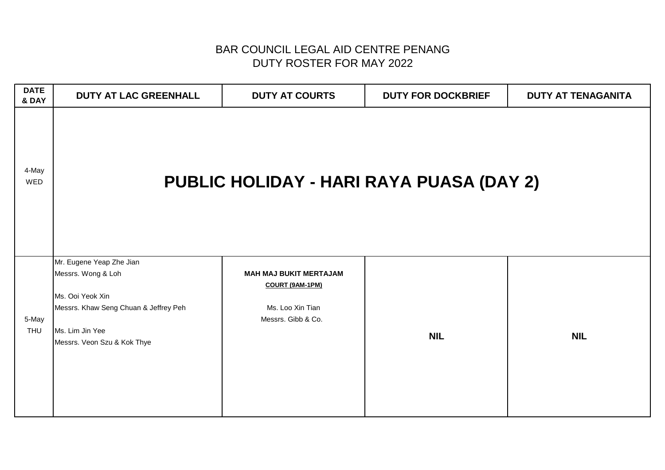| <b>DATE</b><br>& DAY | DUTY AT LAC GREENHALL                                                                                                                                         | <b>DUTY AT COURTS</b>                                                                             | <b>DUTY FOR DOCKBRIEF</b>                       | <b>DUTY AT TENAGANITA</b> |
|----------------------|---------------------------------------------------------------------------------------------------------------------------------------------------------------|---------------------------------------------------------------------------------------------------|-------------------------------------------------|---------------------------|
| 4-May<br>WED         |                                                                                                                                                               |                                                                                                   | <b>PUBLIC HOLIDAY - HARI RAYA PUASA (DAY 2)</b> |                           |
| 5-May<br>THU         | Mr. Eugene Yeap Zhe Jian<br>Messrs. Wong & Loh<br>Ms. Ooi Yeok Xin<br>Messrs. Khaw Seng Chuan & Jeffrey Peh<br>Ms. Lim Jin Yee<br>Messrs. Veon Szu & Kok Thye | <b>MAH MAJ BUKIT MERTAJAM</b><br><b>COURT (9AM-1PM)</b><br>Ms. Loo Xin Tian<br>Messrs. Gibb & Co. | <b>NIL</b>                                      | <b>NIL</b>                |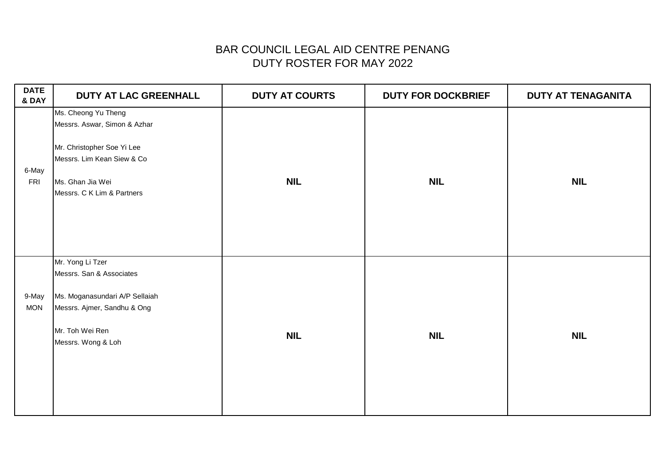| <b>DATE</b><br>& DAY | DUTY AT LAC GREENHALL                                                                                                                                             | <b>DUTY AT COURTS</b> | <b>DUTY FOR DOCKBRIEF</b> | <b>DUTY AT TENAGANITA</b> |
|----------------------|-------------------------------------------------------------------------------------------------------------------------------------------------------------------|-----------------------|---------------------------|---------------------------|
| 6-May<br><b>FRI</b>  | Ms. Cheong Yu Theng<br>Messrs. Aswar, Simon & Azhar<br>Mr. Christopher Soe Yi Lee<br>Messrs. Lim Kean Siew & Co<br>Ms. Ghan Jia Wei<br>Messrs. C K Lim & Partners | <b>NIL</b>            | <b>NIL</b>                | <b>NIL</b>                |
| 9-May<br><b>MON</b>  | Mr. Yong Li Tzer<br>Messrs. San & Associates<br>Ms. Moganasundari A/P Sellaiah<br>Messrs. Ajmer, Sandhu & Ong<br>Mr. Toh Wei Ren<br>Messrs. Wong & Loh            | <b>NIL</b>            | <b>NIL</b>                | <b>NIL</b>                |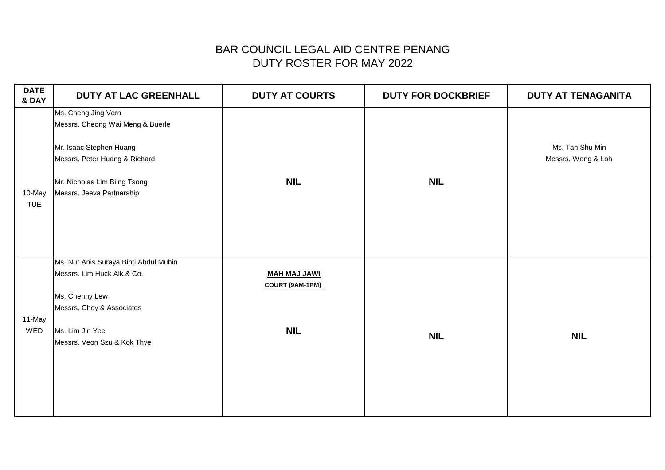| <b>DATE</b><br>& DAY | <b>DUTY AT LAC GREENHALL</b>                                                                                                                                                     | <b>DUTY AT COURTS</b>                                | <b>DUTY FOR DOCKBRIEF</b> | <b>DUTY AT TENAGANITA</b>             |
|----------------------|----------------------------------------------------------------------------------------------------------------------------------------------------------------------------------|------------------------------------------------------|---------------------------|---------------------------------------|
| 10-May<br><b>TUE</b> | Ms. Cheng Jing Vern<br>Messrs. Cheong Wai Meng & Buerle<br>Mr. Isaac Stephen Huang<br>Messrs. Peter Huang & Richard<br>Mr. Nicholas Lim Biing Tsong<br>Messrs. Jeeva Partnership | <b>NIL</b>                                           | <b>NIL</b>                | Ms. Tan Shu Min<br>Messrs. Wong & Loh |
| 11-May<br>WED        | Ms. Nur Anis Suraya Binti Abdul Mubin<br>Messrs. Lim Huck Aik & Co.<br>Ms. Chenny Lew<br>Messrs. Choy & Associates<br>Ms. Lim Jin Yee<br>Messrs. Veon Szu & Kok Thye             | <b>MAH MAJ JAWI</b><br>COURT (9AM-1PM)<br><b>NIL</b> | <b>NIL</b>                | <b>NIL</b>                            |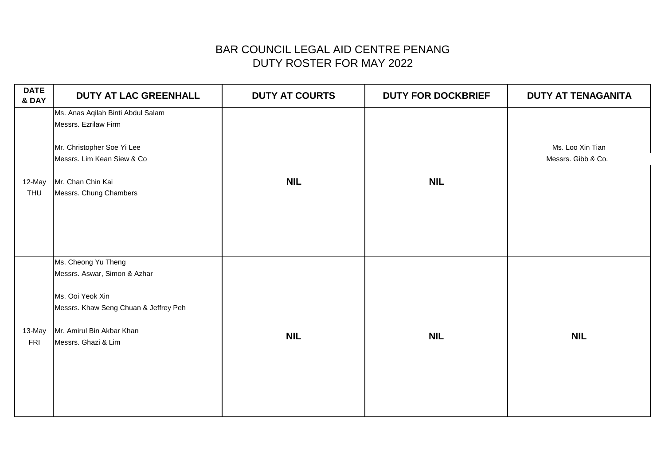| <b>DATE</b><br>& DAY | DUTY AT LAC GREENHALL                                                                                                                                                | <b>DUTY AT COURTS</b> | <b>DUTY FOR DOCKBRIEF</b> | <b>DUTY AT TENAGANITA</b>              |
|----------------------|----------------------------------------------------------------------------------------------------------------------------------------------------------------------|-----------------------|---------------------------|----------------------------------------|
| 12-May<br>THU        | Ms. Anas Aqilah Binti Abdul Salam<br>Messrs. Ezrilaw Firm<br>Mr. Christopher Soe Yi Lee<br>Messrs. Lim Kean Siew & Co<br>Mr. Chan Chin Kai<br>Messrs. Chung Chambers | <b>NIL</b>            | <b>NIL</b>                | Ms. Loo Xin Tian<br>Messrs. Gibb & Co. |
| 13-May<br><b>FRI</b> | Ms. Cheong Yu Theng<br>Messrs. Aswar, Simon & Azhar<br>Ms. Ooi Yeok Xin<br>Messrs. Khaw Seng Chuan & Jeffrey Peh<br>Mr. Amirul Bin Akbar Khan<br>Messrs. Ghazi & Lim | <b>NIL</b>            | <b>NIL</b>                | <b>NIL</b>                             |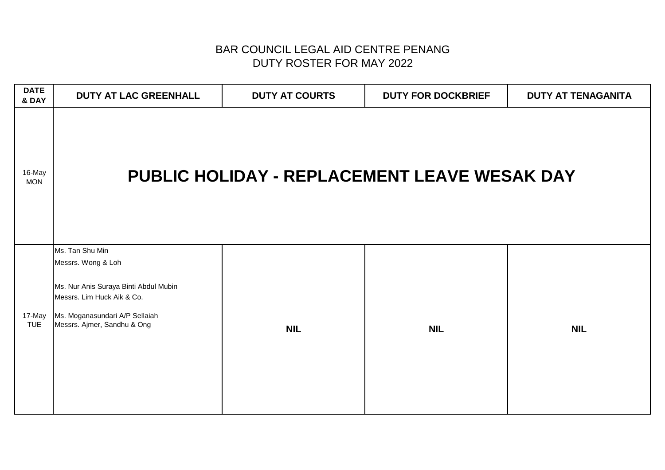| <b>DATE</b><br>& DAY | DUTY AT LAC GREENHALL                                                                                                                                                         | <b>DUTY AT COURTS</b> | <b>DUTY FOR DOCKBRIEF</b>                           | <b>DUTY AT TENAGANITA</b> |
|----------------------|-------------------------------------------------------------------------------------------------------------------------------------------------------------------------------|-----------------------|-----------------------------------------------------|---------------------------|
| 16-May<br><b>MON</b> |                                                                                                                                                                               |                       | <b>PUBLIC HOLIDAY - REPLACEMENT LEAVE WESAK DAY</b> |                           |
| 17-May<br><b>TUE</b> | Ms. Tan Shu Min<br>Messrs. Wong & Loh<br>Ms. Nur Anis Suraya Binti Abdul Mubin<br>Messrs. Lim Huck Aik & Co.<br>Ms. Moganasundari A/P Sellaiah<br>Messrs. Ajmer, Sandhu & Ong | <b>NIL</b>            | <b>NIL</b>                                          | <b>NIL</b>                |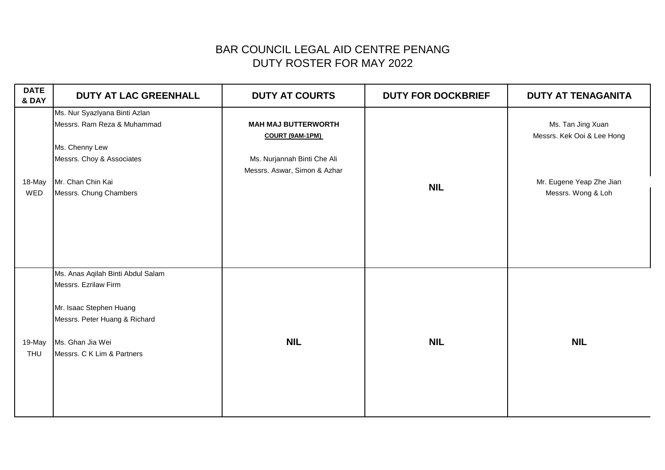| <b>DATE</b><br>& DAY | <b>DUTY AT LAC GREENHALL</b>      | <b>DUTY AT COURTS</b>        | <b>DUTY FOR DOCKBRIEF</b> | <b>DUTY AT TENAGANITA</b>  |
|----------------------|-----------------------------------|------------------------------|---------------------------|----------------------------|
|                      | Ms. Nur Syazlyana Binti Azlan     |                              |                           |                            |
|                      | Messrs. Ram Reza & Muhammad       | <b>MAH MAJ BUTTERWORTH</b>   |                           | Ms. Tan Jing Xuan          |
|                      |                                   | COURT (9AM-1PM)              |                           | Messrs. Kek Ooi & Lee Hong |
|                      | Ms. Chenny Lew                    |                              |                           |                            |
|                      | Messrs. Choy & Associates         | Ms. Nurjannah Binti Che Ali  |                           |                            |
| 18-May               | Mr. Chan Chin Kai                 | Messrs. Aswar, Simon & Azhar |                           | Mr. Eugene Yeap Zhe Jian   |
| WED                  | Messrs. Chung Chambers            |                              | <b>NIL</b>                | Messrs. Wong & Loh         |
|                      |                                   |                              |                           |                            |
|                      |                                   |                              |                           |                            |
|                      |                                   |                              |                           |                            |
|                      |                                   |                              |                           |                            |
|                      |                                   |                              |                           |                            |
|                      |                                   |                              |                           |                            |
|                      | Ms. Anas Aqilah Binti Abdul Salam |                              |                           |                            |
|                      | Messrs. Ezrilaw Firm              |                              |                           |                            |
|                      | Mr. Isaac Stephen Huang           |                              |                           |                            |
|                      | Messrs. Peter Huang & Richard     |                              |                           |                            |
|                      |                                   |                              |                           |                            |
| 19-May               | Ms. Ghan Jia Wei                  | <b>NIL</b>                   | <b>NIL</b>                | <b>NIL</b>                 |
| THU                  | Messrs. C K Lim & Partners        |                              |                           |                            |
|                      |                                   |                              |                           |                            |
|                      |                                   |                              |                           |                            |
|                      |                                   |                              |                           |                            |
|                      |                                   |                              |                           |                            |
|                      |                                   |                              |                           |                            |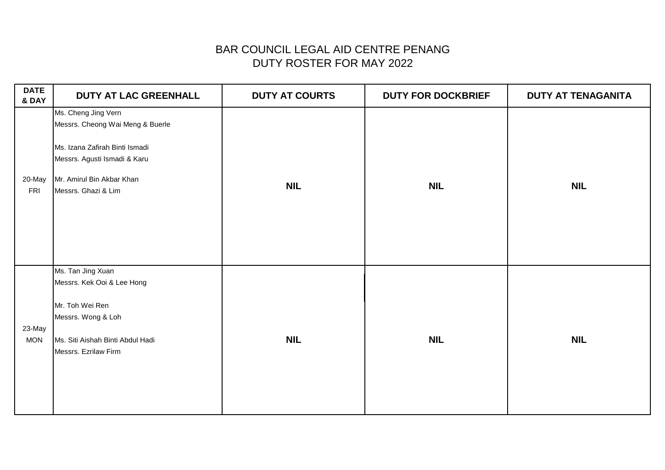| <b>DATE</b><br>& DAY | DUTY AT LAC GREENHALL                                                                                                                                                         | <b>DUTY AT COURTS</b> | <b>DUTY FOR DOCKBRIEF</b> | <b>DUTY AT TENAGANITA</b> |
|----------------------|-------------------------------------------------------------------------------------------------------------------------------------------------------------------------------|-----------------------|---------------------------|---------------------------|
| 20-May<br><b>FRI</b> | Ms. Cheng Jing Vern<br>Messrs. Cheong Wai Meng & Buerle<br>Ms. Izana Zafirah Binti Ismadi<br>Messrs. Agusti Ismadi & Karu<br>Mr. Amirul Bin Akbar Khan<br>Messrs. Ghazi & Lim | <b>NIL</b>            | <b>NIL</b>                | <b>NIL</b>                |
| 23-May<br><b>MON</b> | Ms. Tan Jing Xuan<br>Messrs. Kek Ooi & Lee Hong<br>Mr. Toh Wei Ren<br>Messrs. Wong & Loh<br>Ms. Siti Aishah Binti Abdul Hadi<br>Messrs. Ezrilaw Firm                          | <b>NIL</b>            | <b>NIL</b>                | <b>NIL</b>                |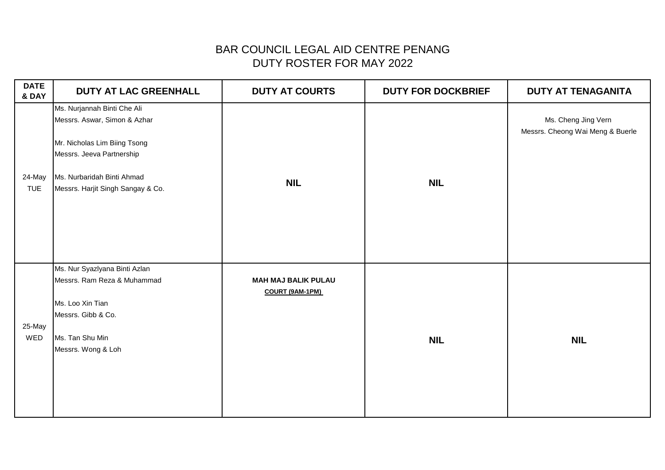| <b>DATE</b><br>& DAY | DUTY AT LAC GREENHALL                                                                                                                                                                       | <b>DUTY AT COURTS</b>                         | <b>DUTY FOR DOCKBRIEF</b> | <b>DUTY AT TENAGANITA</b>                               |
|----------------------|---------------------------------------------------------------------------------------------------------------------------------------------------------------------------------------------|-----------------------------------------------|---------------------------|---------------------------------------------------------|
| 24-May<br><b>TUE</b> | Ms. Nurjannah Binti Che Ali<br>Messrs. Aswar, Simon & Azhar<br>Mr. Nicholas Lim Biing Tsong<br>Messrs. Jeeva Partnership<br>Ms. Nurbaridah Binti Ahmad<br>Messrs. Harjit Singh Sangay & Co. | <b>NIL</b>                                    | <b>NIL</b>                | Ms. Cheng Jing Vern<br>Messrs. Cheong Wai Meng & Buerle |
| 25-May<br>WED        | Ms. Nur Syazlyana Binti Azlan<br>Messrs. Ram Reza & Muhammad<br>Ms. Loo Xin Tian<br>Messrs. Gibb & Co.<br>Ms. Tan Shu Min<br>Messrs. Wong & Loh                                             | <b>MAH MAJ BALIK PULAU</b><br>COURT (9AM-1PM) | <b>NIL</b>                | <b>NIL</b>                                              |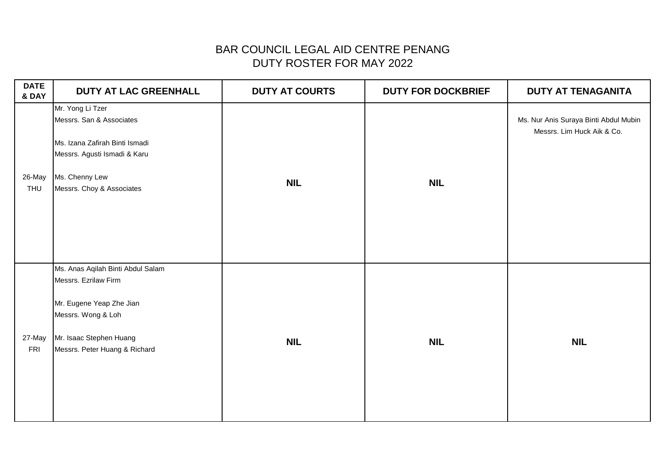| <b>DATE</b><br>& DAY | DUTY AT LAC GREENHALL                                                                                                                                                   | <b>DUTY AT COURTS</b> | <b>DUTY FOR DOCKBRIEF</b> | <b>DUTY AT TENAGANITA</b>                                           |
|----------------------|-------------------------------------------------------------------------------------------------------------------------------------------------------------------------|-----------------------|---------------------------|---------------------------------------------------------------------|
| 26-May<br>THU        | Mr. Yong Li Tzer<br>Messrs. San & Associates<br>Ms. Izana Zafirah Binti Ismadi<br>Messrs. Agusti Ismadi & Karu<br>Ms. Chenny Lew<br>Messrs. Choy & Associates           | <b>NIL</b>            | <b>NIL</b>                | Ms. Nur Anis Suraya Binti Abdul Mubin<br>Messrs. Lim Huck Aik & Co. |
| 27-May<br><b>FRI</b> | Ms. Anas Aqilah Binti Abdul Salam<br>Messrs. Ezrilaw Firm<br>Mr. Eugene Yeap Zhe Jian<br>Messrs. Wong & Loh<br>Mr. Isaac Stephen Huang<br>Messrs. Peter Huang & Richard | <b>NIL</b>            | <b>NIL</b>                | <b>NIL</b>                                                          |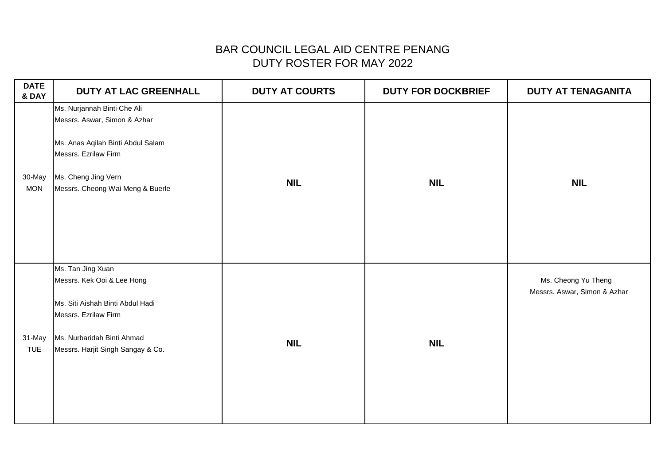| <b>DATE</b><br>& DAY | <b>DUTY AT LAC GREENHALL</b>                                                                                                                                                        | <b>DUTY AT COURTS</b> | <b>DUTY FOR DOCKBRIEF</b> | <b>DUTY AT TENAGANITA</b>                           |
|----------------------|-------------------------------------------------------------------------------------------------------------------------------------------------------------------------------------|-----------------------|---------------------------|-----------------------------------------------------|
| 30-May<br><b>MON</b> | Ms. Nurjannah Binti Che Ali<br>Messrs. Aswar, Simon & Azhar<br>Ms. Anas Aqilah Binti Abdul Salam<br>Messrs. Ezrilaw Firm<br>Ms. Cheng Jing Vern<br>Messrs. Cheong Wai Meng & Buerle | <b>NIL</b>            | <b>NIL</b>                | <b>NIL</b>                                          |
| 31-May<br><b>TUE</b> | Ms. Tan Jing Xuan<br>Messrs. Kek Ooi & Lee Hong<br>Ms. Siti Aishah Binti Abdul Hadi<br>Messrs. Ezrilaw Firm<br>Ms. Nurbaridah Binti Ahmad<br>Messrs. Harjit Singh Sangay & Co.      | <b>NIL</b>            | <b>NIL</b>                | Ms. Cheong Yu Theng<br>Messrs. Aswar, Simon & Azhar |